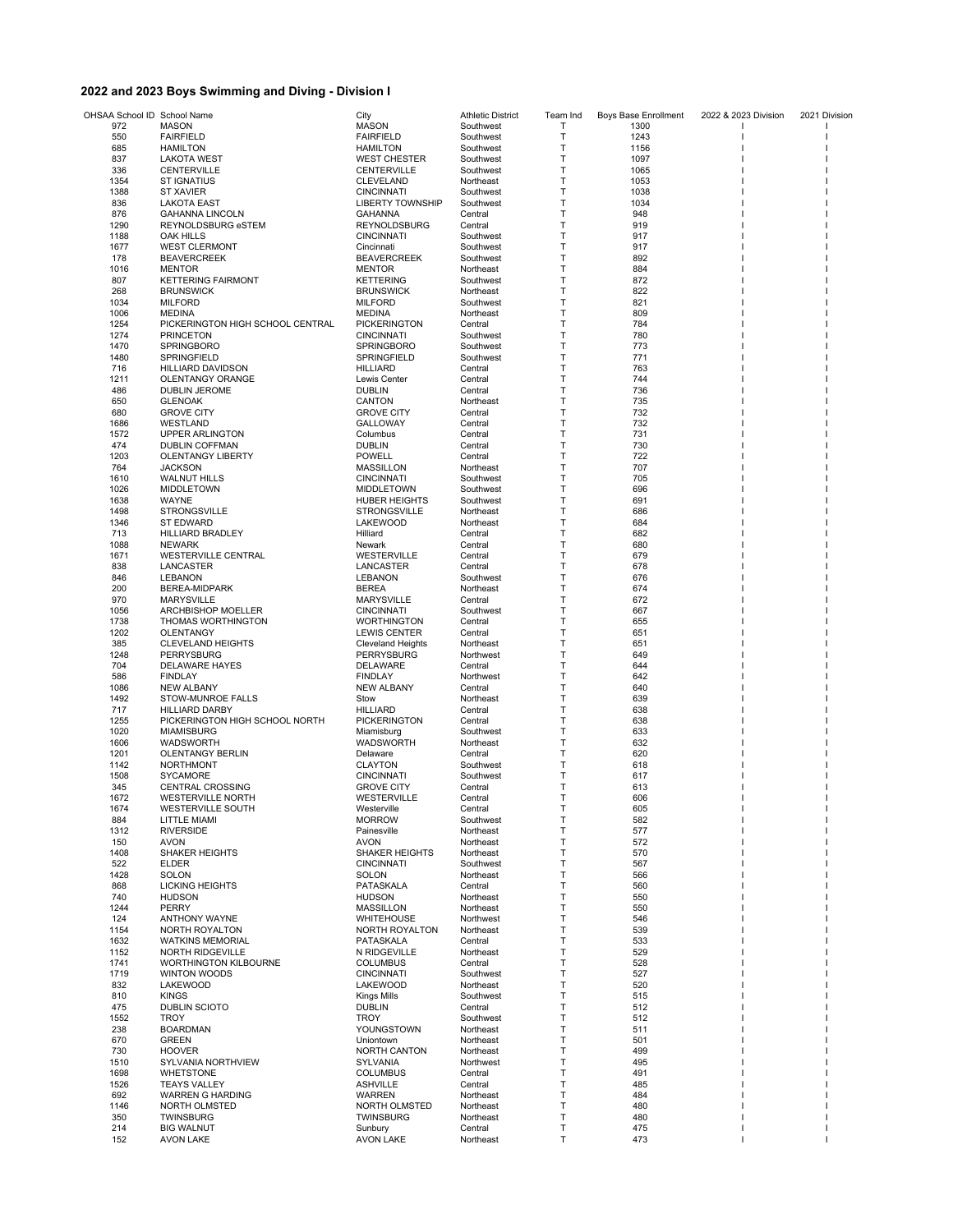## **2022 and 2023 Boys Swimming and Diving - Division I**

| OHSAA School ID School Name |                                  | City                              | <b>Athletic District</b> | Team Ind | Boys Base Enrollment | 2022 & 2023 Division | 2021 Division |
|-----------------------------|----------------------------------|-----------------------------------|--------------------------|----------|----------------------|----------------------|---------------|
| 972                         | MASON                            | <b>MASON</b>                      | Southwest                | Т        | 1300                 |                      |               |
| 550                         | <b>FAIRFIELD</b>                 | <b>FAIRFIELD</b>                  | Southwest                | Т        | 1243                 |                      |               |
| 685                         | <b>HAMILTON</b>                  | <b>HAMILTON</b>                   | Southwest                | Т        | 1156                 |                      |               |
| 837                         | <b>LAKOTA WEST</b>               | <b>WEST CHESTER</b>               | Southwest                | т        | 1097                 |                      |               |
| 336                         | <b>CENTERVILLE</b>               | <b>CENTERVILLE</b>                | Southwest                | т        | 1065                 |                      |               |
| 1354                        | <b>ST IGNATIUS</b>               | CLEVELAND                         | Northeast                | Т        | 1053                 |                      |               |
| 1388                        | <b>ST XAVIER</b>                 | <b>CINCINNATI</b>                 | Southwest                | Т        | 1038                 |                      |               |
| 836                         | <b>LAKOTA EAST</b>               | <b>LIBERTY TOWNSHIP</b>           | Southwest                | Т        | 1034                 |                      |               |
| 876                         | <b>GAHANNA LINCOLN</b>           | GAHANNA                           | Central                  | Т        | 948                  |                      |               |
| 1290                        | REYNOLDSBURG eSTEM               | REYNOLDSBURG                      | Central                  | Т        | 919                  |                      |               |
| 1188                        | OAK HILLS                        | <b>CINCINNATI</b>                 | Southwest                | Т        | 917                  |                      |               |
| 1677                        | <b>WEST CLERMONT</b>             | Cincinnati                        | Southwest                | Т        | 917                  |                      |               |
| 178                         | <b>BEAVERCREEK</b>               | <b>BEAVERCREEK</b>                | Southwest                | Т        | 892                  |                      |               |
| 1016                        | <b>MENTOR</b>                    | <b>MENTOR</b>                     | Northeast                | Т        | 884                  |                      |               |
| 807                         | <b>KETTERING FAIRMONT</b>        | <b>KETTERING</b>                  | Southwest                | т        | 872                  |                      |               |
| 268                         | <b>BRUNSWICK</b>                 | <b>BRUNSWICK</b>                  | Northeast                | т        | 822                  |                      |               |
| 1034                        | <b>MILFORD</b>                   | <b>MILFORD</b>                    | Southwest                | Т        | 821                  |                      |               |
| 1006                        | <b>MEDINA</b>                    | <b>MEDINA</b>                     | Northeast                | Т        | 809                  |                      |               |
| 1254                        | PICKERINGTON HIGH SCHOOL CENTRAL | <b>PICKERINGTON</b>               | Central                  | T        | 784                  |                      |               |
| 1274                        | <b>PRINCETON</b>                 | <b>CINCINNATI</b>                 | Southwest                | Т        | 780                  |                      |               |
| 1470                        | SPRINGBORO                       | SPRINGBORO                        | Southwest                | Т        | 773                  |                      |               |
| 1480                        | SPRINGFIELD                      | SPRINGFIELD                       | Southwest                | т        | 771                  |                      |               |
| 716                         | <b>HILLIARD DAVIDSON</b>         | <b>HILLIARD</b>                   | Central                  | Т        | 763                  |                      |               |
| 1211                        | OLENTANGY ORANGE                 | Lewis Center                      | Central                  | Т        | 744                  |                      |               |
| 486                         | <b>DUBLIN JEROME</b>             | <b>DUBLIN</b>                     | Central                  | Т        | 736                  |                      |               |
| 650                         | <b>GLENOAK</b>                   | CANTON                            | Northeast                | Т        | 735                  |                      |               |
| 680                         | <b>GROVE CITY</b>                | <b>GROVE CITY</b>                 | Central                  | т        | 732                  |                      |               |
| 1686                        | WESTLAND                         | <b>GALLOWAY</b>                   | Central                  | Т        | 732                  |                      |               |
| 1572                        | <b>UPPER ARLINGTON</b>           | Columbus                          | Central                  | т        | 731                  |                      |               |
| 474                         | <b>DUBLIN COFFMAN</b>            | <b>DUBLIN</b>                     | Central                  | T        | 730                  |                      |               |
|                             | <b>OLENTANGY LIBERTY</b>         |                                   |                          | Т        |                      |                      |               |
| 1203<br>764                 | <b>JACKSON</b>                   | <b>POWELL</b><br><b>MASSILLON</b> | Central<br>Northeast     | Т        | 722<br>707           |                      |               |
|                             |                                  |                                   |                          | т        |                      |                      |               |
| 1610                        | <b>WALNUT HILLS</b>              | <b>CINCINNATI</b>                 | Southwest                |          | 705                  |                      |               |
| 1026                        | <b>MIDDLETOWN</b>                | <b>MIDDLETOWN</b>                 | Southwest                | Т        | 696                  |                      |               |
| 1638                        | WAYNE                            | <b>HUBER HEIGHTS</b>              | Southwest                | Т        | 691                  |                      |               |
| 1498                        | <b>STRONGSVILLE</b>              | <b>STRONGSVILLE</b>               | Northeast                | Т        | 686                  |                      |               |
| 1346                        | <b>ST EDWARD</b>                 | LAKEWOOD                          | Northeast                | Т        | 684                  |                      |               |
| 713                         | <b>HILLIARD BRADLEY</b>          | Hilliard                          | Central                  | Т        | 682                  |                      |               |
| 1088                        | <b>NEWARK</b>                    | Newark                            | Central                  | Т        | 680                  |                      |               |
| 1671                        | WESTERVILLE CENTRAL              | WESTERVILLE                       | Central                  | T        | 679                  |                      |               |
| 838                         | LANCASTER                        | LANCASTER                         | Central                  | T        | 678                  |                      |               |
| 846                         | <b>LEBANON</b>                   | <b>LEBANON</b>                    | Southwest                | Т        | 676                  |                      |               |
| 200                         | BEREA-MIDPARK                    | <b>BEREA</b>                      | Northeast                | Т        | 674                  |                      |               |
| 970                         | <b>MARYSVILLE</b>                | <b>MARYSVILLE</b>                 | Central                  | т        | 672                  |                      |               |
| 1056                        | <b>ARCHBISHOP MOELLER</b>        | <b>CINCINNATI</b>                 | Southwest                | Т        | 667                  |                      |               |
| 1738                        | THOMAS WORTHINGTON               | <b>WORTHINGTON</b>                | Central                  | Т        | 655                  |                      |               |
| 1202                        | OLENTANGY                        | <b>LEWIS CENTER</b>               | Central                  | Т        | 651                  |                      |               |
| 385                         | <b>CLEVELAND HEIGHTS</b>         | <b>Cleveland Heights</b>          | Northeast                | Т        | 651                  |                      |               |
| 1248                        | PERRYSBURG                       | PERRYSBURG                        | Northwest                | Т        | 649                  |                      |               |
| 704                         | DELAWARE HAYES                   | <b>DELAWARE</b>                   | Central                  | Т        | 644                  |                      |               |
| 586                         | <b>FINDLAY</b>                   | <b>FINDLAY</b>                    | Northwest                | т        | 642                  |                      |               |
| 1086                        | <b>NEW ALBANY</b>                | <b>NEW ALBANY</b>                 | Central                  | T        | 640                  |                      |               |
| 1492                        | STOW-MUNROE FALLS                | Stow                              | Northeast                | Т        | 639                  |                      |               |
| 717                         | <b>HILLIARD DARBY</b>            | <b>HILLIARD</b>                   | Central                  | Т        | 638                  |                      |               |
| 1255                        | PICKERINGTON HIGH SCHOOL NORTH   | <b>PICKERINGTON</b>               | Central                  | Т        | 638                  |                      |               |
| 1020                        | <b>MIAMISBURG</b>                | Miamisburg                        | Southwest                | Т        | 633                  |                      |               |
| 1606                        | WADSWORTH                        | WADSWORTH                         | Northeast                | Т        | 632                  |                      |               |
| 1201                        | <b>OLENTANGY BERLIN</b>          | Delaware                          | Central                  | Т        | 620                  |                      |               |
| 1142                        | NORTHMONT                        | <b>CLAYTON</b>                    | Southwest                | Т        | 618                  |                      |               |
| 1508                        | <b>SYCAMORE</b>                  | <b>CINCINNATI</b>                 | Southwest                | Т        | 617                  |                      |               |
| 345                         | <b>CENTRAL CROSSING</b>          | <b>GROVE CITY</b>                 | Central                  | Т        | 613                  |                      |               |
| 1672                        | <b>WESTERVILLE NORTH</b>         | WESTERVILLE                       | Central                  | т        | 606                  |                      |               |
| 1674                        | WESTERVILLE SOUTH                | Westerville                       | Central                  |          | 605                  |                      |               |
| 884                         | LITTLE MIAMI                     | <b>MORROW</b>                     | Southwest                | Т        | 582                  |                      |               |
| 1312                        | <b>RIVERSIDE</b>                 | Painesville                       | Northeast                | Т        | 577                  |                      |               |
| 150                         | <b>AVON</b>                      | <b>AVON</b>                       | Northeast                | Т        | 572                  |                      |               |
| 1408                        | SHAKER HEIGHTS                   | <b>SHAKER HEIGHTS</b>             | Northeast                | Т        | 570                  |                      |               |
| 522                         | <b>ELDER</b>                     | <b>CINCINNATI</b>                 | Southwest                | Т        | 567                  |                      |               |
| 1428                        | <b>SOLON</b>                     | SOLON                             | Northeast                | T        | 566                  |                      |               |
| 868                         | <b>LICKING HEIGHTS</b>           | PATASKALA                         | Central                  | Т        | 560                  |                      |               |
| 740                         | <b>HUDSON</b>                    | <b>HUDSON</b>                     | Northeast                | Т        | 550                  |                      |               |
| 1244                        | PERRY                            | <b>MASSILLON</b>                  | Northeast                | Т        | 550                  |                      |               |
| 124                         | <b>ANTHONY WAYNE</b>             | <b>WHITEHOUSE</b>                 | Northwest                | Т        | 546                  |                      |               |
| 1154                        | <b>NORTH ROYALTON</b>            | NORTH ROYALTON                    | Northeast                | Т        | 539                  |                      |               |
| 1632                        | <b>WATKINS MEMORIAL</b>          | PATASKALA                         | Central                  | Т        | 533                  |                      |               |
| 1152                        | <b>NORTH RIDGEVILLE</b>          | N RIDGEVILLE                      | Northeast                | Т        | 529                  |                      |               |
| 1741                        | <b>WORTHINGTON KILBOURNE</b>     | <b>COLUMBUS</b>                   | Central                  | Т        | 528                  |                      |               |
| 1719                        | WINTON WOODS                     | <b>CINCINNATI</b>                 | Southwest                | Т        | 527                  |                      |               |
| 832                         | LAKEWOOD                         | <b>LAKEWOOD</b>                   | Northeast                | Т        | 520                  |                      |               |
| 810                         | <b>KINGS</b>                     | <b>Kings Mills</b>                | Southwest                | Т        | 515                  |                      |               |
| 475                         | <b>DUBLIN SCIOTO</b>             | <b>DUBLIN</b>                     | Central                  | Т        | 512                  |                      |               |
| 1552                        | <b>TROY</b>                      | <b>TROY</b>                       | Southwest                | Т        | 512                  |                      |               |
| 238                         | <b>BOARDMAN</b>                  | YOUNGSTOWN                        | Northeast                | Т        | 511                  |                      |               |
| 670                         | <b>GREEN</b>                     | Uniontown                         | Northeast                | Т        | 501                  |                      |               |
| 730                         | <b>HOOVER</b>                    | <b>NORTH CANTON</b>               | Northeast                | Т        | 499                  |                      |               |
| 1510                        | SYLVANIA NORTHVIEW               | <b>SYLVANIA</b>                   | Northwest                | Т        | 495                  |                      |               |
| 1698                        | <b>WHETSTONE</b>                 | <b>COLUMBUS</b>                   | Central                  | Т        | 491                  |                      |               |
| 1526                        | <b>TEAYS VALLEY</b>              | <b>ASHVILLE</b>                   | Central                  | Т        | 485                  |                      |               |
| 692                         | WARREN G HARDING                 | WARREN                            | Northeast                | Т        | 484                  |                      |               |
| 1146                        | NORTH OLMSTED                    | NORTH OLMSTED                     | Northeast                | Т        | 480                  |                      |               |
| 350                         | <b>TWINSBURG</b>                 | <b>TWINSBURG</b>                  | Northeast                | Т        | 480                  |                      |               |
| 214                         | <b>BIG WALNUT</b>                | Sunbury                           | Central                  | Т        | 475                  |                      |               |
| 152                         | <b>AVON LAKE</b>                 | <b>AVON LAKE</b>                  | Northeast                | Т        | 473                  |                      |               |
|                             |                                  |                                   |                          |          |                      |                      |               |